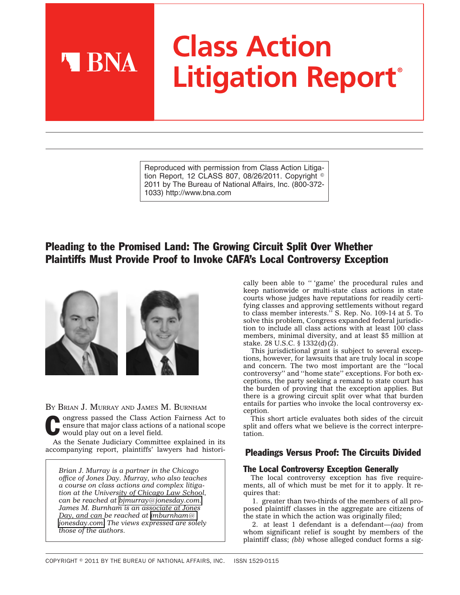# **Class Action Litigation Report®**

Reproduced with permission from Class Action Litigation Report, 12 CLASS 807, 08/26/2011. Copyright  $^\circ$ 2011 by The Bureau of National Affairs, Inc. (800-372- 1033) http://www.bna.com

# Pleading to the Promised Land: The Growing Circuit Split Over Whether Plaintiffs Must Provide Proof to Invoke CAFA's Local Controversy Exception



**A BNA** 

BY BRIAN J. MURRAY AND JAMES M. BURNHAM

Congress passed the Class Action Fairness Act to ensure that major class actions of a national scope would play out on a level field. ensure that major class actions of a national scope would play out on a level field.

As the Senate Judiciary Committee explained in its accompanying report, plaintiffs' lawyers had histori-

*Brian J. Murray is a partner in the Chicago office of Jones Day. Murray, who also teaches a course on class actions and complex litigation at the University of Chicago Law School, can be reached at [bjmurray@jonesday.com.](mailto:bjmurray@jonesday.com) James M. Burnham is an associate at Jones Day, and can be reached at [jmburnham@](mailto:jmburnham@jonesday.com) [jonesday.com.](mailto:jmburnham@jonesday.com) The views expressed are solely those of the authors.*

cally been able to '' 'game' the procedural rules and keep nationwide or multi-state class actions in state courts whose judges have reputations for readily certifying classes and approving settlements without regard to class member interests.'' S. Rep. No. 109-14 at 5. To solve this problem, Congress expanded federal jurisdiction to include all class actions with at least 100 class members, minimal diversity, and at least \$5 million at stake. 28 U.S.C. § 1332(d)(2).

This jurisdictional grant is subject to several exceptions, however, for lawsuits that are truly local in scope and concern. The two most important are the ''local controversy'' and ''home state'' exceptions. For both exceptions, the party seeking a remand to state court has the burden of proving that the exception applies. But there is a growing circuit split over what that burden entails for parties who invoke the local controversy exception.

This short article evaluates both sides of the circuit split and offers what we believe is the correct interpretation.

# Pleadings Versus Proof: The Circuits Divided

# The Local Controversy Exception Generally

The local controversy exception has five requirements, all of which must be met for it to apply. It requires that:

1. greater than two-thirds of the members of all proposed plaintiff classes in the aggregate are citizens of the state in which the action was originally filed;

2. at least 1 defendant is a defendant—*(aa)* from whom significant relief is sought by members of the plaintiff class; *(bb)* whose alleged conduct forms a sig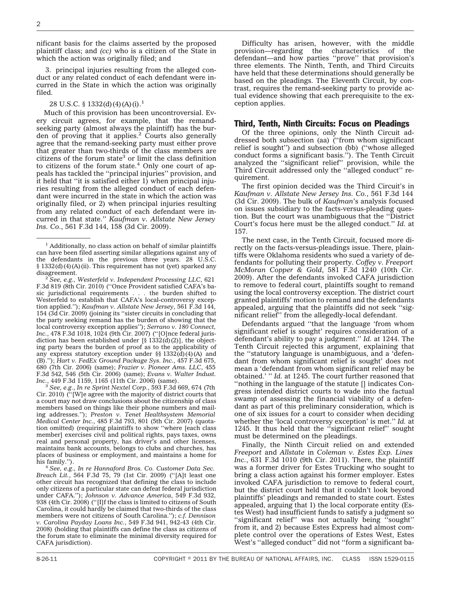nificant basis for the claims asserted by the proposed plaintiff class; and *(cc)* who is a citizen of the State in which the action was originally filed; and

3. principal injuries resulting from the alleged conduct or any related conduct of each defendant were incurred in the State in which the action was originally filed.

#### 28 U.S.C. § 1332(d)(4)(A)(i).<sup>1</sup>

Much of this provision has been uncontroversial. Every circuit agrees, for example, that the remandseeking party (almost always the plaintiff) has the burden of proving that it applies. $2$  Courts also generally agree that the remand-seeking party must either prove that greater than two-thirds of the class members are citizens of the forum state<sup>3</sup> or limit the class definition to citizens of the forum state.<sup>4</sup> Only one court of appeals has tackled the ''principal injuries'' provision, and it held that "it is satisfied either 1) when principal injuries resulting from the alleged conduct of each defendant were incurred in the state in which the action was originally filed, or 2) when principal injuries resulting from any related conduct of each defendant were incurred in that state.'' *Kaufman v. Allstate New Jersey Ins. Co.*, 561 F.3d 144, 158 (3d Cir. 2009).

<sup>2</sup> *See, e.g., Westerfeld v. Independent Processing LLC, 621* F.3d 819 (8th Cir. 2010) (''Once Provident satisfied CAFA's basic jurisdictional requirements . . . the burden shifted to Westerfeld to establish that CAFA's local-controversy exception applied.''); *Kaufman v. Allstate New Jersey*, 561 F.3d 144, 154 (3d Cir. 2009) (joining its ''sister circuits in concluding that the party seeking remand has the burden of showing that the local controversy exception applies''); *Serrano v. 180 Connect, Inc.*, 478 F.3d 1018, 1024 (9th Cir. 2007) (''[O]nce federal jurisdiction has been established under  $[\S 1332(d)(2)]$ , the objecting party bears the burden of proof as to the applicability of any express statutory exception under  $\S$  1332(d)(4)(A) and (B).''); *Hart v. FedEx Ground Package Sys. Inc.*, 457 F.3d 675, 680 (7th Cir. 2006) (same); *Frazier v. Pioneer Ams. LLC*, 455 F.3d 542, 546 (5th Cir. 2006) (same); *Evans v. Walter Indust.*

*Inc.*, 449 F.3d 1159, 1165 (11th Cir. 2006) (same). <sup>3</sup> *See, e.g.*, *In re Sprint Nextel Corp.*, 593 F.3d 669, 674 (7th Cir. 2010) (''[W]e agree with the majority of district courts that a court may not draw conclusions about the citizenship of class members based on things like their phone numbers and mailing addresses.''); *Preston v. Tenet Healthsystem Memorial Medical Center Inc.*, 485 F.3d 793, 801 (5th Cir. 2007) (quotation omitted) (requiring plaintiffs to show ''where [each class member] exercises civil and political rights, pays taxes, owns real and personal property, has driver's and other licenses, maintains bank accounts, belongs to clubs and churches, has places of business or employment, and maintains a home for his family.").

<sup>4</sup> See, e.g., In re Hannaford Bros. Co. Customer Data Sec. *Breach Lit.*, 564 F.3d 75, 79 (1st Cir. 2009) (''[A]t least one other circuit has recognized that defining the class to include only citizens of a particular state can defeat federal jurisdiction under CAFA.''); *Johnson v. Advance America*, 549 F.3d 932, 938 (4th Cir. 2008) (''[I]f the class is limited to citizens of South Carolina, it could hardly be claimed that two-thirds of the class members were not citizens of South Carolina.''); *c.f. Dennison v. Carolina Payday Loans Inc.*, 549 F.3d 941, 942-43 (4th Cir. 2008) (holding that plaintiffs can define the class as citizens of the forum state to eliminate the minimal diversity required for CAFA jurisdiction).

Difficulty has arisen, however, with the middle provision—regarding the characteristics of the defendant—and how parties ''prove'' that provision's three elements. The Ninth, Tenth, and Third Circuits have held that these determinations should generally be based on the pleadings. The Eleventh Circuit, by contrast, requires the remand-seeking party to provide actual evidence showing that each prerequisite to the exception applies.

## Third, Tenth, Ninth Circuits: Focus on Pleadings

Of the three opinions, only the Ninth Circuit addressed both subsection (aa) (''from whom significant relief is sought'') and subsection (bb) (''whose alleged conduct forms a significant basis.''). The Tenth Circuit analyzed the ''significant relief'' provision, while the Third Circuit addressed only the ''alleged conduct'' requirement.

The first opinion decided was the Third Circuit's in *Kaufman v. Allstate New Jersey Ins. Co.*, 561 F.3d 144 (3d Cir. 2009). The bulk of *Kaufman*'s analysis focused on issues subsidiary to the facts-versus-pleading question. But the court was unambiguous that the ''District Court's focus here must be the alleged conduct.'' *Id.* at 157.

The next case, in the Tenth Circuit, focused more directly on the facts-versus-pleadings issue. There, plaintiffs were Oklahoma residents who sued a variety of defendants for polluting their property. *Coffey v. Freeport McMoran Copper & Gold*, 581 F.3d 1240 (10th Cir. 2009). After the defendants invoked CAFA jurisdiction to remove to federal court, plaintiffs sought to remand using the local controversy exception. The district court granted plaintiffs' motion to remand and the defendants appealed, arguing that the plaintiffs did not seek ''significant relief'' from the allegedly-local defendant.

Defendants argued ''that the language 'from whom significant relief is sought' requires consideration of a defendant's ability to pay a judgment.'' *Id.* at 1244. The Tenth Circuit rejected this argument, explaining that the ''statutory language is unambiguous, and a 'defendant from whom significant relief is sought' does not mean a 'defendant from whom significant relief may be obtained.' '' *Id.* at 1245. The court further reasoned that ''nothing in the language of the statute [] indicates Congress intended district courts to wade into the factual swamp of assessing the financial viability of a defendant as part of this preliminary consideration, which is one of six issues for a court to consider when deciding whether the 'local controversy exception' is met.'' *Id.* at 1245. It thus held that the ''significant relief'' sought must be determined on the pleadings.

Finally, the Ninth Circuit relied on and extended *Freeport* and *Allstate* in *Coleman v. Estes Exp. Lines Inc.*, 631 F.3d 1010 (9th Cir. 2011). There, the plaintiff was a former driver for Estes Trucking who sought to bring a class action against his former employer. Estes invoked CAFA jurisdiction to remove to federal court, but the district court held that it couldn't look beyond plaintiffs' pleadings and remanded to state court. Estes appealed, arguing that 1) the local corporate entity (Estes West) had insufficient funds to satisfy a judgment so "significant relief" was not actually being "sought" from it, and 2) because Estes Express had almost complete control over the operations of Estes West, Estes West's ''alleged conduct'' did not ''form a significant ba-

<sup>&</sup>lt;sup>1</sup> Additionally, no class action on behalf of similar plaintiffs can have been filed asserting similar allegations against any of the defendants in the previous three years. 28 U.S.C. § 1332(d)(4)(A)(ii). This requirement has not (yet) sparked any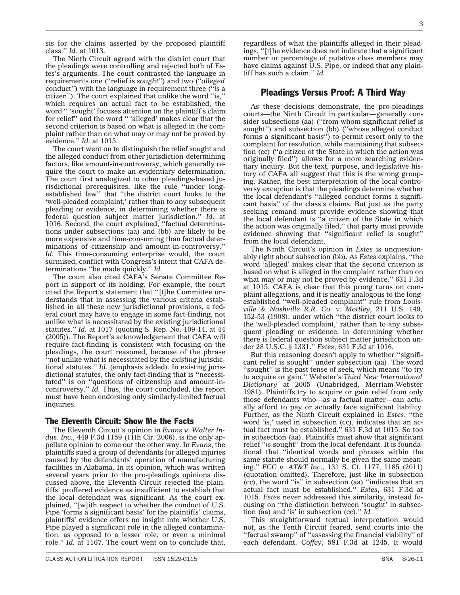sis for the claims asserted by the proposed plaintiff class.'' *Id.* at 1013.

The Ninth Circuit agreed with the district court that the pleadings were controlling and rejected both of Estes's arguments. The court contrasted the language in requirements one (''relief is *sought*'') and two (''*alleged* conduct'') with the language in requirement three (''*is* a citizen''). The court explained that unlike the word ''is,'' which requires an actual fact to be established, the word '' 'sought' focuses attention on the plaintiff's claim for relief'' and the word '' 'alleged' makes clear that the second criterion is based on what is alleged in the complaint rather than on what may or may not be proved by evidence.'' *Id.* at 1015.

The court went on to distinguish the relief sought and the alleged conduct from other jurisdiction-determining factors, like amount-in-controversy, which generally require the court to make an evidentiary determination. The court first analogized to other pleadings-based jurisdictional prerequisites, like the rule ''under longestablished law'' that ''the district court looks to the 'well-pleaded complaint,' rather than to any subsequent pleading or evidence, in determining whether there is federal question subject matter jurisdiction.'' *Id.* at 1016. Second, the court explained, ''factual determinations under subsections (aa) and (bb) are likely to be more expensive and time-consuming than factual determinations of citizenship and amount-in-controversy.'' *Id.* This time-consuming enterprise would, the court surmised, conflict with Congress's intent that CAFA determinations ''be made quickly.'' *Id.*

The court also cited CAFA's Senate Committee Report in support of its holding. For example, the court cited the Report's statement that ''[t]he Committee understands that in assessing the various criteria established in all these new jurisdictional provisions, a federal court may have to engage in some fact-finding, not unlike what is necessitated by the existing jurisdictional statutes.'' *Id.* at 1017 (quoting S. Rep. No. 109-14, at 44 (2005)). The Report's acknowledgement that CAFA will require fact-finding is consistent with focusing on the pleadings, the court reasoned, because of the phrase ''not unlike what is necessitated by the *existing* jurisdictional statutes.'' *Id.* (emphasis added). In existing jurisdictional statutes, the only fact-finding that is ''necessitated'' is on ''questions of citizenship and amount-incontroversy.'' *Id.* Thus, the court concluded, the report must have been endorsing only similarly-limited factual inquiries.

#### The Eleventh Circuit: Show Me the Facts

The Eleventh Circuit's opinion in *Evans v. Walter Indus. Inc.*, 449 F.3d 1159 (11th Cir. 2006), is the only appellate opinion to come out the other way. In *Evans*, the plaintiffs sued a group of defendants for alleged injuries caused by the defendants' operation of manufacturing facilities in Alabama. In its opinion, which was written several years prior to the pro-pleadings opinions discussed above, the Eleventh Circuit rejected the plaintiffs' proffered evidence as insufficient to establish that the local defendant was significant. As the court explained, ''[w]ith respect to whether the conduct of U.S. Pipe 'forms a significant basis' for the plaintiffs' claims, plaintiffs' evidence offers no insight into whether U.S. Pipe played a significant role in the alleged contamination, as opposed to a lesser role, or even a minimal role.'' *Id.* at 1167. The court went on to conclude that,

regardless of what the plaintiffs alleged in their pleadings, ''[t]he evidence does not indicate that a significant number or percentage of putative class members may have claims against  $\bar{U}$ .S. Pipe, or indeed that any plaintiff has such a claim.'' *Id.*

# Pleadings Versus Proof: A Third Way

As these decisions demonstrate, the pro-pleadings courts—the Ninth Circuit in particular—generally consider subsections (aa) ("from whom significant relief is sought'') and subsection (bb) (''whose alleged conduct forms a significant basis'') to permit resort only to the complaint for resolution, while maintaining that subsection (cc) (''a citizen of the State in which the action was originally filed'') allows for a more searching evidentiary inquiry. But the text, purpose, and legislative history of CAFA all suggest that this is the wrong grouping. Rather, the best interpretation of the local controversy exception is that the pleadings determine whether the local defendant's ''alleged conduct forms a significant basis'' of the class's claims. But just as the party seeking remand must provide evidence showing that the local defendant is ''a citizen of the State in which the action was originally filed,'' that party must provide evidence showing that ''significant relief is sought'' from the local defendant.

The Ninth Circuit's opinion in *Estes* is unquestionably right about subsection (bb). As *Estes* explains, ''the word 'alleged' makes clear that the second criterion is based on what is alleged in the complaint rather than on what may or may not be proved by evidence.'' 631 F.3d at 1015. CAFA is clear that this prong turns on complaint allegations, and it is neatly analogous to the longestablished ''well-pleaded complaint'' rule from *Louisville & Nashville R.R. Co. v. Mottley*, 211 U.S. 149, 152-53 (1908), under which ''the district court looks to the 'well-pleaded complaint,' rather than to any subsequent pleading or evidence, in determining whether there is federal question subject matter jurisdiction under 28 U.S.C. § 1331.'' *Estes*, 631 F.3d at 1016.

But this reasoning doesn't apply to whether ''significant relief is sought'' under subsection (aa). The word ''sought'' is the past tense of seek, which means ''to try to acquire or gain.'' Webster's *Third New International Dictionary* at 2005 (Unabridged, Merriam-Webster 1981). Plaintiffs try to acquire or gain relief from only those defendants who—as a factual matter—can actually afford to pay or actually face significant liability. Further, as the Ninth Circuit explained in *Estes*, ''the word 'is,' used in subsection (cc), indicates that an actual fact must be established.'' 631 F.3d at 1015. So too in subsection (aa). Plaintiffs must show that significant relief ''*is* sought'' from the local defendant. It is foundational that ''identical words and phrases within the same statute should normally be given the same meaning.'' *FCC v. AT&T Inc.*, 131 S. Ct. 1177, 1185 (2011) (quotation omitted). Therefore, just like in subsection (cc), the word ''is'' in subsection (aa) ''indicates that an actual fact must be established.'' *Estes*, 631 F.3d at 1015. *Estes* never addressed this similarity, instead focusing on ''the distinction between 'sought' in subsection (aa) and 'is' in subsection (cc).'' *Id.*

This straightforward textual interpretation would not, as the Tenth Circuit feared, send courts into the ''factual swamp'' of ''assessing the financial viability'' of each defendant. *Coffey*, 581 F.3d at 1245. It would